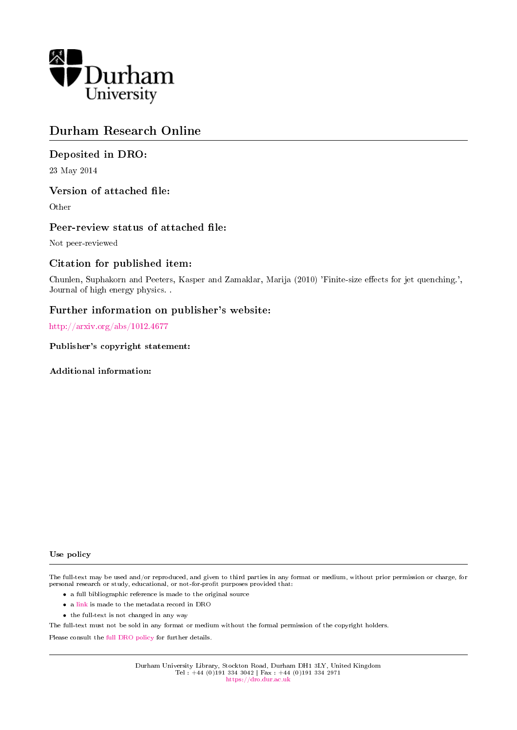

## Durham Research Online

### Deposited in DRO:

23 May 2014

### Version of attached file:

Other

### Peer-review status of attached file:

Not peer-reviewed

### Citation for published item:

Chunlen, Suphakorn and Peeters, Kasper and Zamaklar, Marija (2010) 'Finite-size effects for jet quenching.', Journal of high energy physics. .

### Further information on publisher's website:

<http://arxiv.org/abs/1012.4677>

Publisher's copyright statement:

Additional information:

#### Use policy

The full-text may be used and/or reproduced, and given to third parties in any format or medium, without prior permission or charge, for personal research or study, educational, or not-for-profit purposes provided that:

- a full bibliographic reference is made to the original source
- a [link](http://dro.dur.ac.uk/12348/) is made to the metadata record in DRO
- the full-text is not changed in any way

The full-text must not be sold in any format or medium without the formal permission of the copyright holders.

Please consult the [full DRO policy](https://dro.dur.ac.uk/policies/usepolicy.pdf) for further details.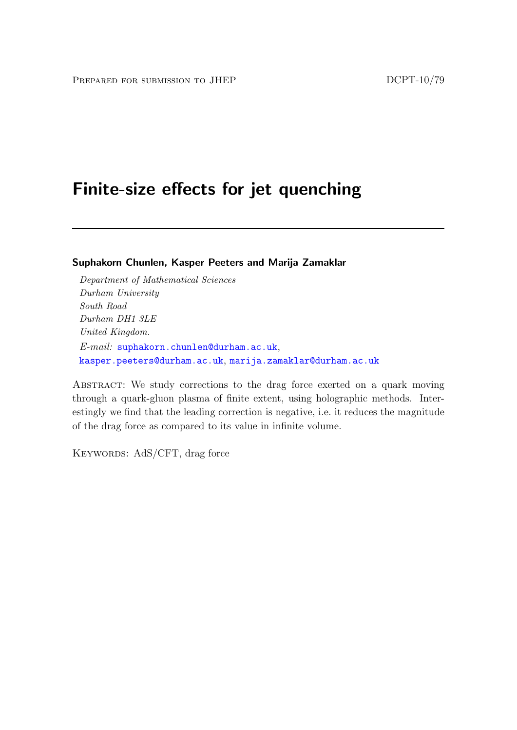# Finite-size effects for jet quenching

Suphakorn Chunlen, Kasper Peeters and Marija Zamaklar

Department of Mathematical Sciences Durham University South Road Durham DH1 3LE United Kingdom. E-mail: [suphakorn.chunlen@durham.ac.uk](mailto:suphakorn.chunlen@durham.ac.uk), [kasper.peeters@durham.ac.uk](mailto:kasper.peeters@durham.ac.uk), [marija.zamaklar@durham.ac.uk](mailto:marija.zamaklar@durham.ac.uk)

ABSTRACT: We study corrections to the drag force exerted on a quark moving through a quark-gluon plasma of finite extent, using holographic methods. Interestingly we find that the leading correction is negative, i.e. it reduces the magnitude of the drag force as compared to its value in infinite volume.

KEYWORDS: AdS/CFT, drag force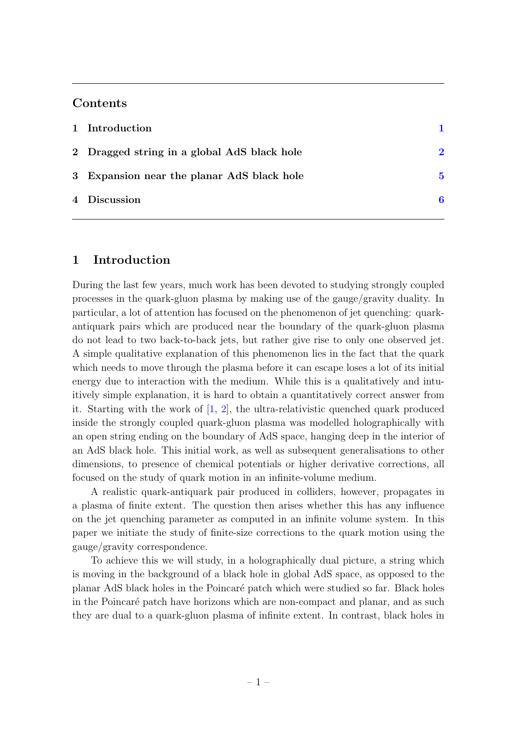### Contents

| 1 Introduction                              |              |
|---------------------------------------------|--------------|
| 2 Dragged string in a global AdS black hole | $\mathbf{p}$ |
| 3 Expansion near the planar AdS black hole  | 5            |
| 4 Discussion                                | 6            |

### <span id="page-2-0"></span>1 Introduction

During the last few years, much work has been devoted to studying strongly coupled processes in the quark-gluon plasma by making use of the gauge/gravity duality. In particular, a lot of attention has focused on the phenomenon of jet quenching: quarkantiquark pairs which are produced near the boundary of the quark-gluon plasma do not lead to two back-to-back jets, but rather give rise to only one observed jet. A simple qualitative explanation of this phenomenon lies in the fact that the quark which needs to move through the plasma before it can escape loses a lot of its initial energy due to interaction with the medium. While this is a qualitatively and intuitively simple explanation, it is hard to obtain a quantitatively correct answer from it. Starting with the work of [\[1,](#page-7-1) [2\]](#page-7-2), the ultra-relativistic quenched quark produced inside the strongly coupled quark-gluon plasma was modelled holographically with an open string ending on the boundary of AdS space, hanging deep in the interior of an AdS black hole. This initial work, as well as subsequent generalisations to other dimensions, to presence of chemical potentials or higher derivative corrections, all focused on the study of quark motion in an infinite-volume medium.

A realistic quark-antiquark pair produced in colliders, however, propagates in a plasma of finite extent. The question then arises whether this has any influence on the jet quenching parameter as computed in an infinite volume system. In this paper we initiate the study of finite-size corrections to the quark motion using the gauge/gravity correspondence.

To achieve this we will study, in a holographically dual picture, a string which is moving in the background of a black hole in global AdS space, as opposed to the planar AdS black holes in the Poincar´e patch which were studied so far. Black holes in the Poincaré patch have horizons which are non-compact and planar, and as such they are dual to a quark-gluon plasma of infinite extent. In contrast, black holes in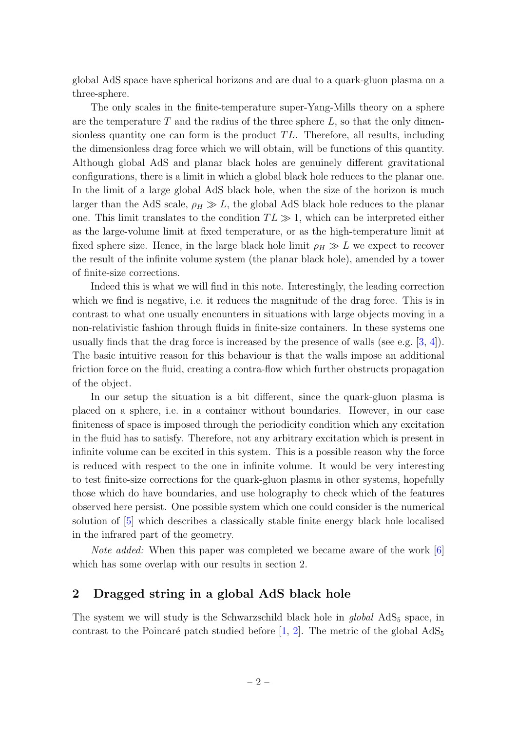global AdS space have spherical horizons and are dual to a quark-gluon plasma on a three-sphere.

The only scales in the finite-temperature super-Yang-Mills theory on a sphere are the temperature  $T$  and the radius of the three sphere  $L$ , so that the only dimensionless quantity one can form is the product  $TL$ . Therefore, all results, including the dimensionless drag force which we will obtain, will be functions of this quantity. Although global AdS and planar black holes are genuinely different gravitational configurations, there is a limit in which a global black hole reduces to the planar one. In the limit of a large global AdS black hole, when the size of the horizon is much larger than the AdS scale,  $\rho_H \gg L$ , the global AdS black hole reduces to the planar one. This limit translates to the condition  $TL \gg 1$ , which can be interpreted either as the large-volume limit at fixed temperature, or as the high-temperature limit at fixed sphere size. Hence, in the large black hole limit  $\rho_H \gg L$  we expect to recover the result of the infinite volume system (the planar black hole), amended by a tower of finite-size corrections.

Indeed this is what we will find in this note. Interestingly, the leading correction which we find is negative, i.e. it reduces the magnitude of the drag force. This is in contrast to what one usually encounters in situations with large objects moving in a non-relativistic fashion through fluids in finite-size containers. In these systems one usually finds that the drag force is increased by the presence of walls (see e.g.  $[3, 4]$  $[3, 4]$  $[3, 4]$ ). The basic intuitive reason for this behaviour is that the walls impose an additional friction force on the fluid, creating a contra-flow which further obstructs propagation of the object.

In our setup the situation is a bit different, since the quark-gluon plasma is placed on a sphere, i.e. in a container without boundaries. However, in our case finiteness of space is imposed through the periodicity condition which any excitation in the fluid has to satisfy. Therefore, not any arbitrary excitation which is present in infinite volume can be excited in this system. This is a possible reason why the force is reduced with respect to the one in infinite volume. It would be very interesting to test finite-size corrections for the quark-gluon plasma in other systems, hopefully those which do have boundaries, and use holography to check which of the features observed here persist. One possible system which one could consider is the numerical solution of [\[5\]](#page-7-5) which describes a classically stable finite energy black hole localised in the infrared part of the geometry.

Note added: When this paper was completed we became aware of the work [\[6\]](#page-8-0) which has some overlap with our results in section 2.

### <span id="page-3-0"></span>2 Dragged string in a global AdS black hole

The system we will study is the Schwarzschild black hole in  $global\text{ AdS}_5$  space, in contrast to the Poincaré patch studied before [\[1,](#page-7-1) [2\]](#page-7-2). The metric of the global  $AdS_5$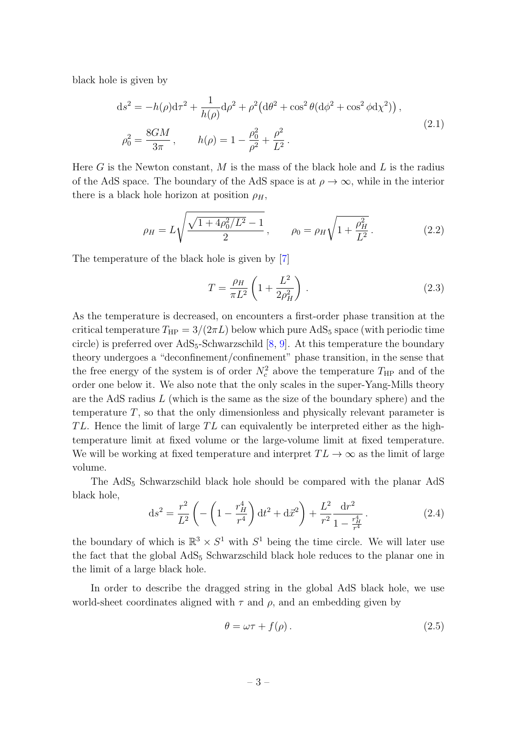black hole is given by

$$
ds^{2} = -h(\rho)d\tau^{2} + \frac{1}{h(\rho)}d\rho^{2} + \rho^{2}(d\theta^{2} + \cos^{2}\theta(d\phi^{2} + \cos^{2}\phi d\chi^{2})),
$$
  
\n
$$
\rho_{0}^{2} = \frac{8GM}{3\pi}, \qquad h(\rho) = 1 - \frac{\rho_{0}^{2}}{\rho^{2}} + \frac{\rho^{2}}{L^{2}}.
$$
\n(2.1)

Here G is the Newton constant, M is the mass of the black hole and  $L$  is the radius of the AdS space. The boundary of the AdS space is at  $\rho \to \infty$ , while in the interior there is a black hole horizon at position  $\rho_H$ ,

$$
\rho_H = L \sqrt{\frac{\sqrt{1 + 4\rho_0^2/L^2} - 1}{2}}, \qquad \rho_0 = \rho_H \sqrt{1 + \frac{\rho_H^2}{L^2}}.
$$
\n(2.2)

The temperature of the black hole is given by [\[7\]](#page-8-1)

<span id="page-4-1"></span>
$$
T = \frac{\rho_H}{\pi L^2} \left( 1 + \frac{L^2}{2\rho_H^2} \right) \,. \tag{2.3}
$$

As the temperature is decreased, on encounters a first-order phase transition at the critical temperature  $T_{\rm HP} = 3/(2\pi L)$  below which pure AdS<sub>5</sub> space (with periodic time circle) is preferred over  $AdS_5$ -Schwarzschild  $[8, 9]$  $[8, 9]$  $[8, 9]$ . At this temperature the boundary theory undergoes a "deconfinement/confinement" phase transition, in the sense that the free energy of the system is of order  $N_c^2$  above the temperature  $T_{\rm HP}$  and of the order one below it. We also note that the only scales in the super-Yang-Mills theory are the AdS radius  $L$  (which is the same as the size of the boundary sphere) and the temperature  $T$ , so that the only dimensionless and physically relevant parameter is TL. Hence the limit of large TL can equivalently be interpreted either as the hightemperature limit at fixed volume or the large-volume limit at fixed temperature. We will be working at fixed temperature and interpret  $TL \rightarrow \infty$  as the limit of large volume.

The AdS<sup>5</sup> Schwarzschild black hole should be compared with the planar AdS black hole,

<span id="page-4-0"></span>
$$
ds^{2} = \frac{r^{2}}{L^{2}} \left( -\left(1 - \frac{r_{H}^{4}}{r^{4}}\right) dt^{2} + d\vec{x}^{2} \right) + \frac{L^{2}}{r^{2}} \frac{dr^{2}}{1 - \frac{r_{H}^{4}}{r^{4}}}.
$$
 (2.4)

the boundary of which is  $\mathbb{R}^3 \times S^1$  with  $S^1$  being the time circle. We will later use the fact that the global  $AdS_5$  Schwarzschild black hole reduces to the planar one in the limit of a large black hole.

In order to describe the dragged string in the global AdS black hole, we use world-sheet coordinates aligned with  $\tau$  and  $\rho$ , and an embedding given by

$$
\theta = \omega \tau + f(\rho). \tag{2.5}
$$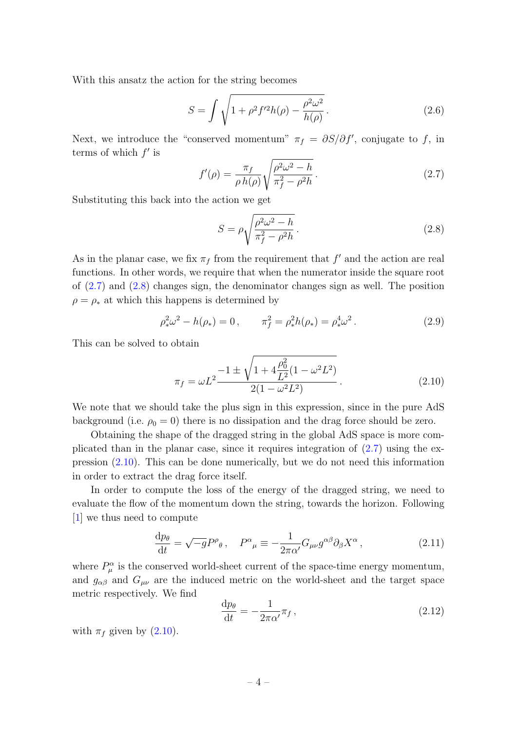With this ansatz the action for the string becomes

$$
S = \int \sqrt{1 + \rho^2 f'^2 h(\rho) - \frac{\rho^2 \omega^2}{h(\rho)}}.
$$
 (2.6)

Next, we introduce the "conserved momentum"  $\pi_f = \partial S/\partial f'$ , conjugate to f, in terms of which  $f'$  is

<span id="page-5-0"></span>
$$
f'(\rho) = \frac{\pi_f}{\rho h(\rho)} \sqrt{\frac{\rho^2 \omega^2 - h}{\pi_f^2 - \rho^2 h}}.
$$
\n(2.7)

Substituting this back into the action we get

<span id="page-5-1"></span>
$$
S = \rho \sqrt{\frac{\rho^2 \omega^2 - h}{\pi_f^2 - \rho^2 h}}.
$$
\n(2.8)

As in the planar case, we fix  $\pi_f$  from the requirement that  $f'$  and the action are real functions. In other words, we require that when the numerator inside the square root of [\(2.7\)](#page-5-0) and [\(2.8\)](#page-5-1) changes sign, the denominator changes sign as well. The position  $\rho = \rho_*$  at which this happens is determined by

$$
\rho_*^2 \omega^2 - h(\rho_*) = 0, \qquad \pi_f^2 = \rho_*^2 h(\rho_*) = \rho_*^4 \omega^2. \tag{2.9}
$$

This can be solved to obtain

<span id="page-5-2"></span>
$$
\pi_f = \omega L^2 \frac{-1 \pm \sqrt{1 + 4\frac{\rho_0^2}{L^2}(1 - \omega^2 L^2)}}{2(1 - \omega^2 L^2)}.
$$
\n(2.10)

We note that we should take the plus sign in this expression, since in the pure AdS background (i.e.  $\rho_0 = 0$ ) there is no dissipation and the drag force should be zero.

Obtaining the shape of the dragged string in the global AdS space is more complicated than in the planar case, since it requires integration of [\(2.7\)](#page-5-0) using the expression [\(2.10\)](#page-5-2). This can be done numerically, but we do not need this information in order to extract the drag force itself.

In order to compute the loss of the energy of the dragged string, we need to evaluate the flow of the momentum down the string, towards the horizon. Following [\[1\]](#page-7-1) we thus need to compute

$$
\frac{\mathrm{d}p_{\theta}}{\mathrm{d}t} = \sqrt{-g}P^{\rho}_{\theta}, \quad P^{\alpha}_{\mu} \equiv -\frac{1}{2\pi\alpha'}G_{\mu\nu}g^{\alpha\beta}\partial_{\beta}X^{\alpha},\tag{2.11}
$$

where  $P_{\mu}^{\alpha}$  is the conserved world-sheet current of the space-time energy momentum, and  $g_{\alpha\beta}$  and  $G_{\mu\nu}$  are the induced metric on the world-sheet and the target space metric respectively. We find

<span id="page-5-3"></span>
$$
\frac{\mathrm{d}p_{\theta}}{\mathrm{d}t} = -\frac{1}{2\pi\alpha'}\pi_f\,,\tag{2.12}
$$

with  $\pi_f$  given by  $(2.10)$ .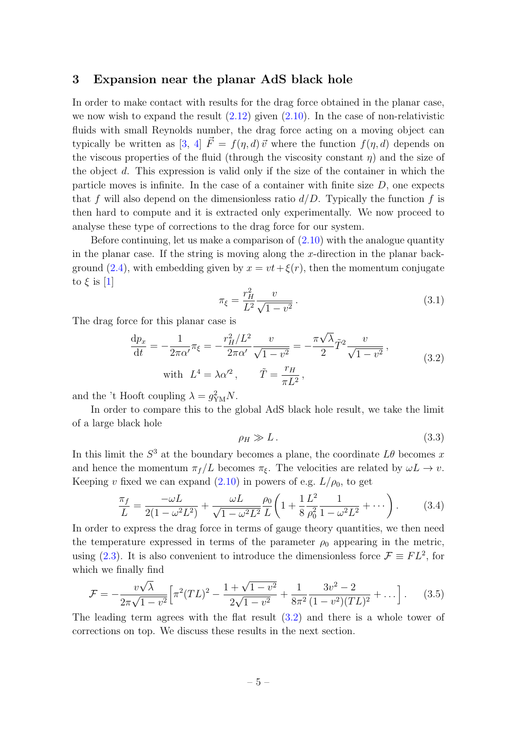### <span id="page-6-0"></span>3 Expansion near the planar AdS black hole

In order to make contact with results for the drag force obtained in the planar case, we now wish to expand the result  $(2.12)$  given  $(2.10)$ . In the case of non-relativistic fluids with small Reynolds number, the drag force acting on a moving object can typically be written as [\[3,](#page-7-3) [4\]](#page-7-4)  $\vec{F} = f(\eta, d) \vec{v}$  where the function  $f(\eta, d)$  depends on the viscous properties of the fluid (through the viscosity constant  $\eta$ ) and the size of the object d. This expression is valid only if the size of the container in which the particle moves is infinite. In the case of a container with finite size  $D$ , one expects that f will also depend on the dimensionless ratio  $d/D$ . Typically the function f is then hard to compute and it is extracted only experimentally. We now proceed to analyse these type of corrections to the drag force for our system.

Before continuing, let us make a comparison of  $(2.10)$  with the analogue quantity in the planar case. If the string is moving along the x-direction in the planar back-ground [\(2.4\)](#page-4-0), with embedding given by  $x = vt + \xi(r)$ , then the momentum conjugate to  $\xi$  is [\[1\]](#page-7-1)

$$
\pi_{\xi} = \frac{r_H^2}{L^2} \frac{v}{\sqrt{1 - v^2}}.
$$
\n(3.1)

The drag force for this planar case is

<span id="page-6-1"></span>
$$
\frac{dp_x}{dt} = -\frac{1}{2\pi\alpha'}\pi_{\xi} = -\frac{r_H^2/L^2}{2\pi\alpha'}\frac{v}{\sqrt{1 - v^2}} = -\frac{\pi\sqrt{\lambda}}{2}\tilde{T}^2\frac{v}{\sqrt{1 - v^2}},
$$
\n
$$
\text{with } L^4 = \lambda\alpha'^2, \qquad \tilde{T} = \frac{r_H}{\pi L^2},
$$
\n(3.2)

and the 't Hooft coupling  $\lambda = g_{YM}^2 N$ .

In order to compare this to the global AdS black hole result, we take the limit of a large black hole

$$
\rho_H \gg L. \tag{3.3}
$$

In this limit the  $S^3$  at the boundary becomes a plane, the coordinate  $L\theta$  becomes x and hence the momentum  $\pi_f/L$  becomes  $\pi_{\xi}$ . The velocities are related by  $\omega L \to v$ . Keeping v fixed we can expand  $(2.10)$  in powers of e.g.  $L/\rho_0$ , to get

$$
\frac{\pi_f}{L} = \frac{-\omega L}{2(1 - \omega^2 L^2)} + \frac{\omega L}{\sqrt{1 - \omega^2 L^2}} \frac{\rho_0}{L} \left( 1 + \frac{1}{8} \frac{L^2}{\rho_0^2} \frac{1}{1 - \omega^2 L^2} + \cdots \right). \tag{3.4}
$$

In order to express the drag force in terms of gauge theory quantities, we then need the temperature expressed in terms of the parameter  $\rho_0$  appearing in the metric, using [\(2.3\)](#page-4-1). It is also convenient to introduce the dimensionless force  $\mathcal{F} \equiv FL^2$ , for which we finally find

<span id="page-6-2"></span>
$$
\mathcal{F} = -\frac{v\sqrt{\lambda}}{2\pi\sqrt{1-v^2}} \Big[ \pi^2 (TL)^2 - \frac{1+\sqrt{1-v^2}}{2\sqrt{1-v^2}} + \frac{1}{8\pi^2} \frac{3v^2 - 2}{(1-v^2)(TL)^2} + \dots \Big].
$$
 (3.5)

The leading term agrees with the flat result [\(3.2\)](#page-6-1) and there is a whole tower of corrections on top. We discuss these results in the next section.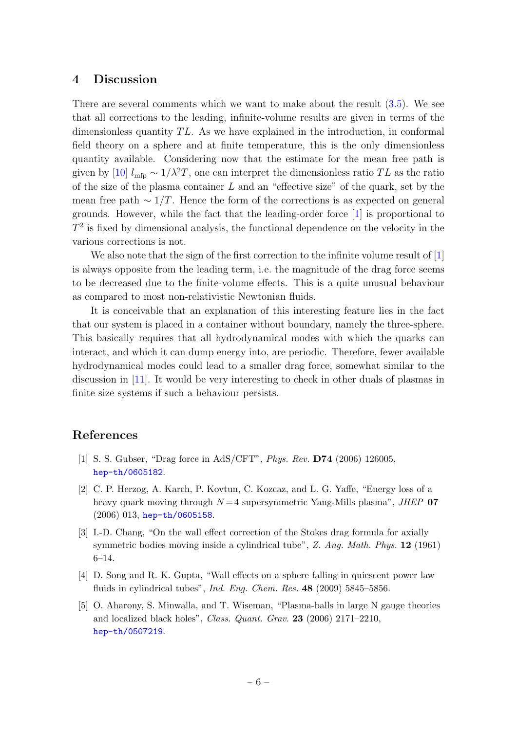### <span id="page-7-0"></span>4 Discussion

There are several comments which we want to make about the result  $(3.5)$ . We see that all corrections to the leading, infinite-volume results are given in terms of the dimensionless quantity  $TL$ . As we have explained in the introduction, in conformal field theory on a sphere and at finite temperature, this is the only dimensionless quantity available. Considering now that the estimate for the mean free path is given by [\[10\]](#page-8-4)  $l_{\rm mfp} \sim 1/\lambda^2 T$ , one can interpret the dimensionless ratio TL as the ratio of the size of the plasma container  $L$  and an "effective size" of the quark, set by the mean free path  $\sim 1/T$ . Hence the form of the corrections is as expected on general grounds. However, while the fact that the leading-order force [\[1\]](#page-7-1) is proportional to  $T<sup>2</sup>$  is fixed by dimensional analysis, the functional dependence on the velocity in the various corrections is not.

We also note that the sign of the first correction to the infinite volume result of [\[1\]](#page-7-1) is always opposite from the leading term, i.e. the magnitude of the drag force seems to be decreased due to the finite-volume effects. This is a quite unusual behaviour as compared to most non-relativistic Newtonian fluids.

It is conceivable that an explanation of this interesting feature lies in the fact that our system is placed in a container without boundary, namely the three-sphere. This basically requires that all hydrodynamical modes with which the quarks can interact, and which it can dump energy into, are periodic. Therefore, fewer available hydrodynamical modes could lead to a smaller drag force, somewhat similar to the discussion in [\[11\]](#page-8-5). It would be very interesting to check in other duals of plasmas in finite size systems if such a behaviour persists.

### References

- <span id="page-7-1"></span>[1] S. S. Gubser, "Drag force in AdS/CFT", Phys. Rev. D74 (2006) 126005, [hep-th/0605182](http://arxiv.org/abs/hep-th/0605182).
- <span id="page-7-2"></span>[2] C. P. Herzog, A. Karch, P. Kovtun, C. Kozcaz, and L. G. Yaffe, "Energy loss of a heavy quark moving through  $N = 4$  supersymmetric Yang-Mills plasma", JHEP 07 (2006) 013, [hep-th/0605158](http://arxiv.org/abs/hep-th/0605158).
- <span id="page-7-3"></span>[3] I.-D. Chang, "On the wall effect correction of the Stokes drag formula for axially symmetric bodies moving inside a cylindrical tube",  $Z.$  Ang. Math. Phys. 12 (1961) 6–14.
- <span id="page-7-4"></span>[4] D. Song and R. K. Gupta, "Wall effects on a sphere falling in quiescent power law fluids in cylindrical tubes", *Ind. Eng. Chem. Res.* 48 (2009) 5845–5856.
- <span id="page-7-5"></span>[5] O. Aharony, S. Minwalla, and T. Wiseman, "Plasma-balls in large N gauge theories and localized black holes", Class. Quant. Grav. 23 (2006) 2171–2210, [hep-th/0507219](http://arxiv.org/abs/hep-th/0507219).